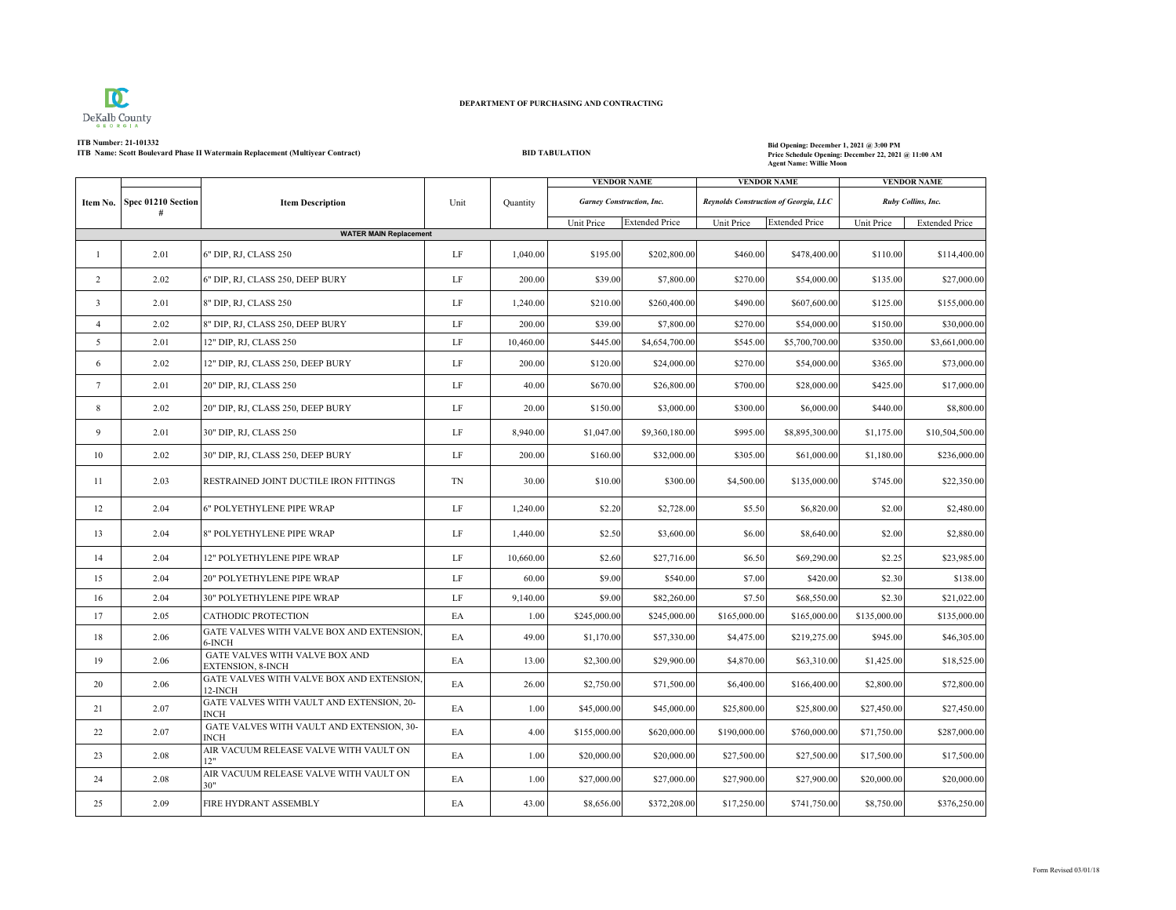

## **DEPARTMENT OF PURCHASING AND CONTRACTING**

## **ITB Number: 21-101332**

**ITB** Name: Scott Boulevard Phase II Watermain Replacement (Multiyear Contract) **BID TABULATION BID TABULATION** 

## **Price Schedule Opening: December 22, 2021 @ 11:00 AM Agent Name: Willie Moon**

|                                     |      |                                                      |          |           | <b>VENDOR NAME</b>               |                       | <b>VENDOR NAME</b>                    |                       | <b>VENDOR NAME</b> |                       |
|-------------------------------------|------|------------------------------------------------------|----------|-----------|----------------------------------|-----------------------|---------------------------------------|-----------------------|--------------------|-----------------------|
| Spec 01210 Section<br>Item No.<br># |      | <b>Item Description</b>                              | Unit     | Quantity  | <b>Garney Construction, Inc.</b> |                       | Reynolds Construction of Georgia, LLC |                       | Ruby Collins, Inc. |                       |
|                                     |      |                                                      |          |           | Unit Price                       | <b>Extended Price</b> | Unit Price                            | <b>Extended Price</b> | Unit Price         | <b>Extended Price</b> |
| <b>WATER MAIN Replacement</b>       |      |                                                      |          |           |                                  |                       |                                       |                       |                    |                       |
| 1                                   | 2.01 | 6" DIP, RJ, CLASS 250                                | LF       | 1,040.00  | \$195.00                         | \$202,800.00          | \$460.00                              | \$478,400.00          | \$110.00           | \$114,400.00          |
| 2                                   | 2.02 | 6" DIP, RJ, CLASS 250, DEEP BURY                     | LF       | 200.00    | \$39.00                          | \$7,800.00            | \$270.00                              | \$54,000.00           | \$135.00           | \$27,000.00           |
| $\overline{3}$                      | 2.01 | 8" DIP, RJ, CLASS 250                                | LF       | 1,240.00  | \$210.00                         | \$260,400.00          | \$490.00                              | \$607,600.00          | \$125.00           | \$155,000.00          |
| $\overline{4}$                      | 2.02 | 8" DIP, RJ, CLASS 250, DEEP BURY                     | $\rm LF$ | 200.00    | \$39.00                          | \$7,800.00            | \$270.00                              | \$54,000.00           | \$150.00           | \$30,000.00           |
| 5                                   | 2.01 | 12" DIP, RJ, CLASS 250                               | $\rm LF$ | 10,460.00 | \$445.00                         | \$4,654,700.00        | \$545.00                              | \$5,700,700.00        | \$350.00           | \$3,661,000.00        |
| 6                                   | 2.02 | 12" DIP, RJ, CLASS 250, DEEP BURY                    | $\rm LF$ | 200.00    | \$120.00                         | \$24,000.00           | \$270.00                              | \$54,000.00           | \$365.00           | \$73,000.00           |
| $7\overline{ }$                     | 2.01 | 20" DIP, RJ, CLASS 250                               | $\rm LF$ | 40.00     | \$670.00                         | \$26,800.00           | \$700.00                              | \$28,000.00           | \$425.00           | \$17,000.00           |
| 8                                   | 2.02 | 20" DIP, RJ, CLASS 250, DEEP BURY                    | LF       | 20.00     | \$150.00                         | \$3,000.00            | \$300.00                              | \$6,000.00            | \$440.00           | \$8,800.00            |
| 9                                   | 2.01 | 30" DIP, RJ, CLASS 250                               | $\rm LF$ | 8,940.00  | \$1,047.00                       | \$9,360,180.00        | \$995.00                              | \$8,895,300.00        | \$1,175.00         | \$10,504,500.00       |
| 10                                  | 2.02 | 30" DIP, RJ, CLASS 250, DEEP BURY                    | LF       | 200.00    | \$160.00                         | \$32,000.00           | \$305.00                              | \$61,000.00           | \$1,180.00         | \$236,000.00          |
| 11                                  | 2.03 | RESTRAINED JOINT DUCTILE IRON FITTINGS               | TN       | 30.00     | \$10.00                          | \$300.00              | \$4,500.00                            | \$135,000.00          | \$745.00           | \$22,350.00           |
| 12                                  | 2.04 | 6" POLYETHYLENE PIPE WRAP                            | LF       | 1,240.00  | \$2.20                           | \$2,728.00            | \$5.50                                | \$6,820.00            | \$2.00             | \$2,480.00            |
| 13                                  | 2.04 | 8" POLYETHYLENE PIPE WRAP                            | LF       | 1,440.00  | \$2.50                           | \$3,600.00            | \$6.00                                | \$8,640.00            | \$2.00             | \$2,880.00            |
| 14                                  | 2.04 | 12" POLYETHYLENE PIPE WRAP                           | LF       | 10,660.00 | \$2.60                           | \$27,716.00           | \$6.50                                | \$69,290.00           | \$2.25             | \$23,985.00           |
| 15                                  | 2.04 | 20" POLYETHYLENE PIPE WRAP                           | $\rm LF$ | 60.00     | \$9.00                           | \$540.00              | \$7.00                                | \$420.00              | \$2.30             | \$138.00              |
| 16                                  | 2.04 | 30" POLYETHYLENE PIPE WRAP                           | LF       | 9,140.00  | \$9.00                           | \$82,260.00           | \$7.50                                | \$68,550.00           | \$2.30             | \$21,022.00           |
| 17                                  | 2.05 | CATHODIC PROTECTION                                  | EA       | 1.00      | \$245,000.00                     | \$245,000.00          | \$165,000.00                          | \$165,000.00          | \$135,000.00       | \$135,000.00          |
| 18                                  | 2.06 | GATE VALVES WITH VALVE BOX AND EXTENSION,<br>6-INCH  | EA       | 49.00     | \$1,170.00                       | \$57,330.00           | \$4,475.00                            | \$219,275.00          | \$945.00           | \$46,305.00           |
| 19                                  | 2.06 | GATE VALVES WITH VALVE BOX AND<br>EXTENSION, 8-INCH  | EA       | 13.00     | \$2,300.00                       | \$29,900.00           | \$4,870.00                            | \$63,310.00           | \$1,425.00         | \$18,525.00           |
| 20                                  | 2.06 | GATE VALVES WITH VALVE BOX AND EXTENSION,<br>12-INCH | EA       | 26.00     | \$2,750.00                       | \$71,500.00           | \$6,400.00                            | \$166,400.00          | \$2,800.00         | \$72,800.00           |
| 21                                  | 2.07 | GATE VALVES WITH VAULT AND EXTENSION, 20-<br>INCH    | EA       | 1.00      | \$45,000.00                      | \$45,000.00           | \$25,800.00                           | \$25,800.00           | \$27,450.00        | \$27,450.00           |
| 22                                  | 2.07 | GATE VALVES WITH VAULT AND EXTENSION, 30-<br>INCH    | EA       | 4.00      | \$155,000.00                     | \$620,000.00          | \$190,000.00                          | \$760,000.00          | \$71,750.00        | \$287,000.00          |
| 23                                  | 2.08 | AIR VACUUM RELEASE VALVE WITH VAULT ON<br>12"        | EA       | 1.00      | \$20,000.00                      | \$20,000.00           | \$27,500.00                           | \$27,500.00           | \$17,500.00        | \$17,500.00           |
| 24                                  | 2.08 | AIR VACUUM RELEASE VALVE WITH VAULT ON<br>30"        | EA       | 1.00      | \$27,000.00                      | \$27,000.00           | \$27,900.00                           | \$27,900.00           | \$20,000.00        | \$20,000.00           |
| 25                                  | 2.09 | FIRE HYDRANT ASSEMBLY                                | EA       | 43.00     | \$8,656.00                       | \$372,208.00          | \$17,250.00                           | \$741,750.00          | \$8,750.00         | \$376,250.00          |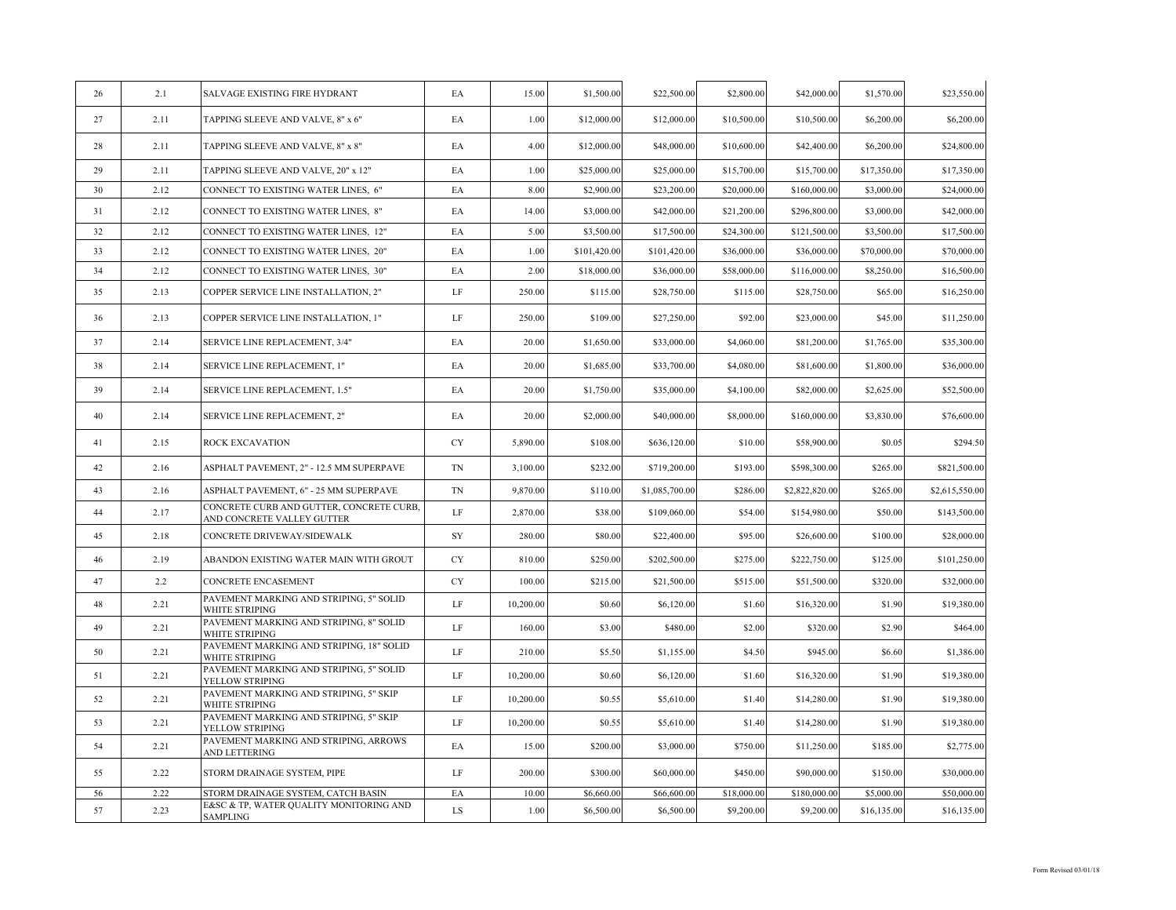| 26 | 2.1  | SALVAGE EXISTING FIRE HYDRANT                                          | EA       | 15.00     | \$1,500.00   | \$22,500.00    | \$2,800.00  | \$42,000.00    | \$1,570.00  | \$23,550.00    |
|----|------|------------------------------------------------------------------------|----------|-----------|--------------|----------------|-------------|----------------|-------------|----------------|
| 27 | 2.11 | TAPPING SLEEVE AND VALVE, 8" x 6"                                      | EA       | 1.00      | \$12,000.00  | \$12,000.00    | \$10,500.00 | \$10,500.00    | \$6,200.00  | \$6,200.00     |
| 28 | 2.11 | TAPPING SLEEVE AND VALVE, 8" x 8"                                      | EA       | 4.00      | \$12,000.00  | \$48,000.00    | \$10,600.00 | \$42,400.00    | \$6,200.00  | \$24,800.00    |
| 29 | 2.11 | TAPPING SLEEVE AND VALVE, 20" x 12"                                    | EA       | 1.00      | \$25,000.00  | \$25,000.00    | \$15,700.00 | \$15,700.00    | \$17,350.00 | \$17,350.00    |
| 30 | 2.12 | CONNECT TO EXISTING WATER LINES, 6"                                    | EA       | 8.00      | \$2,900.00   | \$23,200.00    | \$20,000.00 | \$160,000.00   | \$3,000.00  | \$24,000.00    |
| 31 | 2.12 | CONNECT TO EXISTING WATER LINES, 8"                                    | EA       | 14.00     | \$3,000.00   | \$42,000.00    | \$21,200.00 | \$296,800.00   | \$3,000.00  | \$42,000.00    |
| 32 | 2.12 | CONNECT TO EXISTING WATER LINES, 12"                                   | EA       | 5.00      | \$3,500.00   | \$17,500.00    | \$24,300.00 | \$121,500.00   | \$3,500.00  | \$17,500.00    |
| 33 | 2.12 | CONNECT TO EXISTING WATER LINES, 20"                                   | EA       | 1.00      | \$101,420.00 | \$101,420.00   | \$36,000.00 | \$36,000.00    | \$70,000.00 | \$70,000.00    |
| 34 | 2.12 | CONNECT TO EXISTING WATER LINES, 30"                                   | EA       | 2.00      | \$18,000.00  | \$36,000.00    | \$58,000.00 | \$116,000.00   | \$8,250.00  | \$16,500.00    |
| 35 | 2.13 | COPPER SERVICE LINE INSTALLATION, 2"                                   | LF       | 250.00    | \$115.00     | \$28,750.00    | \$115.00    | \$28,750.00    | \$65.00     | \$16,250.00    |
| 36 | 2.13 | COPPER SERVICE LINE INSTALLATION, 1"                                   | LF       | 250.00    | \$109.00     | \$27,250.00    | \$92.00     | \$23,000.00    | \$45.00     | \$11,250.00    |
| 37 | 2.14 | SERVICE LINE REPLACEMENT, 3/4"                                         | EA       | 20.00     | \$1,650.00   | \$33,000.00    | \$4,060.00  | \$81,200.00    | \$1,765.00  | \$35,300.00    |
| 38 | 2.14 | SERVICE LINE REPLACEMENT, 1"                                           | EA       | 20.00     | \$1,685.00   | \$33,700.00    | \$4,080.00  | \$81,600.00    | \$1,800.00  | \$36,000.00    |
| 39 | 2.14 | SERVICE LINE REPLACEMENT, 1.5"                                         | EA       | 20.00     | \$1,750.00   | \$35,000.00    | \$4,100.00  | \$82,000.00    | \$2,625.00  | \$52,500.00    |
| 40 | 2.14 | SERVICE LINE REPLACEMENT, 2"                                           | EA       | 20.00     | \$2,000.00   | \$40,000.00    | \$8,000.00  | \$160,000.00   | \$3,830.00  | \$76,600.00    |
| 41 | 2.15 | ROCK EXCAVATION                                                        | CY       | 5,890.00  | \$108.00     | \$636,120.00   | \$10.00     | \$58,900.00    | \$0.05      | \$294.50       |
| 42 | 2.16 | ASPHALT PAVEMENT, 2" - 12.5 MM SUPERPAVE                               | TN       | 3,100.00  | \$232.00     | \$719,200.00   | \$193.00    | \$598,300.00   | \$265.00    | \$821,500.00   |
| 43 | 2.16 | ASPHALT PAVEMENT, 6" - 25 MM SUPERPAVE                                 | TN       | 9,870.00  | \$110.00     | \$1,085,700.00 | \$286.00    | \$2,822,820.00 | \$265.00    | \$2,615,550.00 |
| 44 | 2.17 | CONCRETE CURB AND GUTTER, CONCRETE CURB,<br>AND CONCRETE VALLEY GUTTER | LF       | 2,870.00  | \$38.00      | \$109,060.00   | \$54.00     | \$154,980.00   | \$50.00     | \$143,500.00   |
| 45 | 2.18 | CONCRETE DRIVEWAY/SIDEWALK                                             | SY       | 280.00    | \$80.00      | \$22,400.00    | \$95.00     | \$26,600.00    | \$100.00    | \$28,000.00    |
| 46 | 2.19 | ABANDON EXISTING WATER MAIN WITH GROUT                                 | CY       | 810.00    | \$250.00     | \$202,500.00   | \$275.00    | \$222,750.00   | \$125.00    | \$101,250.00   |
| 47 | 2.2  | CONCRETE ENCASEMENT                                                    | CY       | 100.00    | \$215.00     | \$21,500.00    | \$515.00    | \$51,500.00    | \$320.00    | \$32,000.00    |
| 48 | 2.21 | PAVEMENT MARKING AND STRIPING, 5" SOLID<br>WHITE STRIPING              | $\rm LF$ | 10,200.00 | \$0.60       | \$6,120.00     | \$1.60      | \$16,320.00    | \$1.90      | \$19,380.00    |
| 49 | 2.21 | PAVEMENT MARKING AND STRIPING, 8" SOLID<br>WHITE STRIPING              | $\rm LF$ | 160.00    | \$3.00       | \$480.00       | \$2.00      | \$320.00       | \$2.90      | \$464.00       |
| 50 | 2.21 | PAVEMENT MARKING AND STRIPING, 18" SOLID<br>WHITE STRIPING             | $\rm LF$ | 210.00    | \$5.50       | \$1,155.00     | \$4.50      | \$945.00       | \$6.60      | \$1,386.00     |
| 51 | 2.21 | PAVEMENT MARKING AND STRIPING, 5" SOLID<br>YELLOW STRIPING             | LF       | 10,200.00 | \$0.60       | \$6,120.00     | \$1.60      | \$16,320.00    | \$1.90      | \$19,380.00    |
| 52 | 2.21 | PAVEMENT MARKING AND STRIPING, 5" SKIP<br>WHITE STRIPING               | LF       | 10,200.00 | \$0.55       | \$5,610.00     | \$1.40      | \$14,280.00    | \$1.90      | \$19,380.00    |
| 53 | 2.21 | PAVEMENT MARKING AND STRIPING, 5" SKIP<br>YELLOW STRIPING              | LF       | 10,200.00 | \$0.55       | \$5,610.00     | \$1.40      | \$14,280.00    | \$1.90      | \$19,380.00    |
| 54 | 2.21 | PAVEMENT MARKING AND STRIPING, ARROWS<br>AND LETTERING                 | EA       | 15.00     | \$200.00     | \$3,000.00     | \$750.00    | \$11,250.00    | \$185.00    | \$2,775.00     |
| 55 | 2.22 | STORM DRAINAGE SYSTEM, PIPE                                            | LF       | 200.00    | \$300.00     | \$60,000.00    | \$450.00    | \$90,000.00    | \$150.00    | \$30,000.00    |
| 56 | 2.22 | STORM DRAINAGE SYSTEM, CATCH BASIN                                     | EA       | 10.00     | \$6,660.00   | \$66,600.00    | \$18,000.00 | \$180,000.00   | \$5,000.00  | \$50,000.00    |
| 57 | 2.23 | E&SC & TP, WATER QUALITY MONITORING AND<br>SAMPLING                    | LS       | 1.00      | \$6,500.00   | \$6,500.00     | \$9,200.00  | \$9,200.00     | \$16,135.00 | \$16,135.00    |
|    |      |                                                                        |          |           |              |                |             |                |             |                |